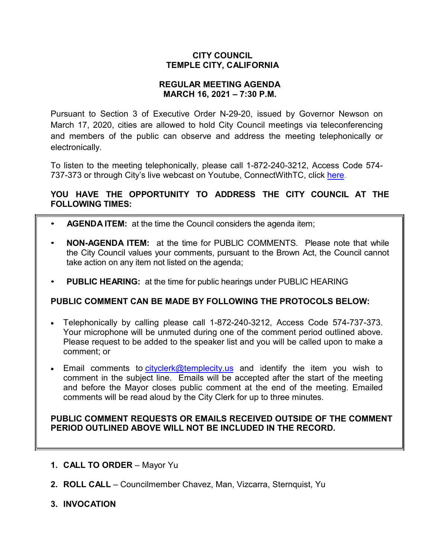## **CITY COUNCIL TEMPLE CITY, CALIFORNIA**

## **REGULAR MEETING AGENDA MARCH 16, 2021 – 7:30 P.M.**

Pursuant to Section 3 of Executive Order N-29-20, issued by Governor Newson on March 17, 2020, cities are allowed to hold City Council meetings via teleconferencing and members of the public can observe and address the meeting telephonically or electronically.

To listen to the meeting telephonically, please call 1-872-240-3212, Access Code 574 737-373 or through City's live webcast on Youtube, ConnectWithTC, click [here.](https://www.ci.temple-city.ca.us/516/Meeting-Webcast)

# **YOU HAVE THE OPPORTUNITY TO ADDRESS THE CITY COUNCIL AT THE FOLLOWING TIMES:**

- **AGENDA ITEM:** at the time the Council considers the agenda item;
- **NON-AGENDA ITEM:** at the time for PUBLIC COMMENTS. Please note that while the City Council values your comments, pursuant to the Brown Act, the Council cannot take action on any item not listed on the agenda;
- **PUBLIC HEARING:** at the time for public hearings under PUBLIC HEARING

# **PUBLIC COMMENT CAN BE MADE BY FOLLOWING THE PROTOCOLS BELOW:**

- Telephonically by calling please call 1-872-240-3212, Access Code 574-737-373. Your microphone will be unmuted during one of the comment period outlined above. Please request to be added to the speaker list and you will be called upon to make a comment; or
- Email comments to [cityclerk@templecity.us](mailto:cityclerk@templecity.us) and identify the item you wish to comment in the subject line. Emails will be accepted after the start of the meeting and before the Mayor closes public comment at the end of the meeting. Emailed comments will be read aloud by the City Clerk for up to three minutes.

## **PUBLIC COMMENT REQUESTS OR EMAILS RECEIVED OUTSIDE OF THE COMMENT PERIOD OUTLINED ABOVE WILL NOT BE INCLUDED IN THE RECORD.**

- **1. CALL TO ORDER**  Mayor Yu
- **2. ROLL CALL**  Councilmember Chavez, Man, Vizcarra, Sternquist, Yu
- **3. INVOCATION**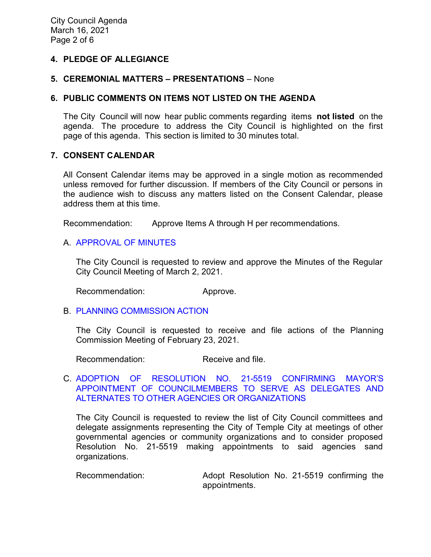## **4. PLEDGE OF ALLEGIANCE**

### **5. CEREMONIAL MATTERS – PRESENTATIONS** – None

### **6. PUBLIC COMMENTS ON ITEMS NOT LISTED ON THE AGENDA**

The City Council will now hear public comments regarding items **not listed** on the agenda. The procedure to address the City Council is highlighted on the first page of this agenda. This section is limited to 30 minutes total.

## **7. CONSENT CALENDAR**

All Consent Calendar items may be approved in a single motion as recommended unless removed for further discussion. If members of the City Council or persons in the audience wish to discuss any matters listed on the Consent Calendar, please address them at this time.

Recommendation: Approve Items A through H per recommendations.

### A. [APPROVAL](https://ca-templecity.civicplus.com/DocumentCenter/View/15919/02_7A_CCM---2021-03-02-Reorganization) OF MINUTES

The City Council is requested to review and approve the Minutes of the Regular City Council Meeting of March 2, 2021.

Recommendation: Approve.

#### B. PLANNING [COMMISSION ACTION](https://ca-templecity.civicplus.com/DocumentCenter/View/15920/03_7B_PC-Actions---from-2021-2-23_v3-final-2021-03-08)

The City Council is requested to receive and file actions of the Planning Commission Meeting of February 23, 2021.

Recommendation: Receive and file.

### C. [ADOPTION OF RESOLUTION NO. 21-5519 CONFIRMING MAYOR'S](https://ca-templecity.civicplus.com/DocumentCenter/View/15936/04_7C_Mayor-Appointment_Staff-Report_2021-w-attachment)  [APPOINTMENT OF COUNCILMEMBERS TO SERVE AS DELEGATES AND](https://ca-templecity.civicplus.com/DocumentCenter/View/15936/04_7C_Mayor-Appointment_Staff-Report_2021-w-attachment)  [ALTERNATES TO OTHER AGENCIES OR ORGANIZATIONS](https://ca-templecity.civicplus.com/DocumentCenter/View/15936/04_7C_Mayor-Appointment_Staff-Report_2021-w-attachment)

The City Council is requested to review the list of City Council committees and delegate assignments representing the City of Temple City at meetings of other governmental agencies or community organizations and to consider proposed Resolution No. 21-5519 making appointments to said agencies sand organizations.

Recommendation: Adopt Resolution No. 21-5519 confirming the appointments.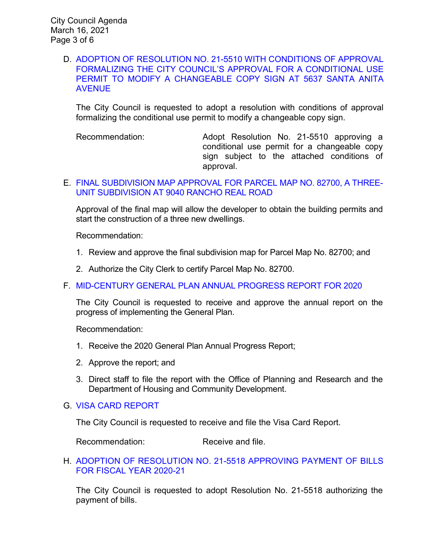### D. [ADOPTION OF RESOLUTION NO. 21-5510 WITH CONDITIONS OF APPROVAL](https://ca-templecity.civicplus.com/DocumentCenter/View/15921/05_7D_Bellagio-Car-Wash_Staff-Report-5637-Santa-Anita-AveChangeable-Copy-Sign_final_v2-w-attachments)  [FORMALIZING THE CITY COUNCIL'S APPROVAL FOR A CONDITIONAL USE](https://ca-templecity.civicplus.com/DocumentCenter/View/15921/05_7D_Bellagio-Car-Wash_Staff-Report-5637-Santa-Anita-AveChangeable-Copy-Sign_final_v2-w-attachments)  [PERMIT TO MODIFY A CHANGEABLE COPY SIGN AT 5637 SANTA ANITA](https://ca-templecity.civicplus.com/DocumentCenter/View/15921/05_7D_Bellagio-Car-Wash_Staff-Report-5637-Santa-Anita-AveChangeable-Copy-Sign_final_v2-w-attachments)  [AVENUE](https://ca-templecity.civicplus.com/DocumentCenter/View/15921/05_7D_Bellagio-Car-Wash_Staff-Report-5637-Santa-Anita-AveChangeable-Copy-Sign_final_v2-w-attachments)

The City Council is requested to adopt a resolution with conditions of approval formalizing the conditional use permit to modify a changeable copy sign.

Recommendation: Adopt Resolution No. 21-5510 approving a conditional use permit for a changeable copy sign subject to the attached conditions of approval.

## E. [FINAL SUBDIVISION MAP APPROVAL FOR PARCEL MAP NO. 82700, A THREE-](https://ca-templecity.civicplus.com/DocumentCenter/View/15922/06_7E_Final-Map_Report-PL-19-1880-Final-Map-82700-9040-Ranch-Real-Rd-3-unit-condo_v2-w-pk-comments-2021-03-09)[UNIT SUBDIVISION AT 9040 RANCHO REAL ROAD](https://ca-templecity.civicplus.com/DocumentCenter/View/15922/06_7E_Final-Map_Report-PL-19-1880-Final-Map-82700-9040-Ranch-Real-Rd-3-unit-condo_v2-w-pk-comments-2021-03-09)

Approval of the final map will allow the developer to obtain the building permits and start the construction of a three new dwellings.

Recommendation:

- 1. Review and approve the final subdivision map for Parcel Map No. 82700; and
- 2. Authorize the City Clerk to certify Parcel Map No. 82700.
- F. [MID-CENTURY GENERAL PLAN ANNUAL PROGRESS REPORT FOR 2020](https://ca-templecity.civicplus.com/DocumentCenter/View/15923/07_7F_General-Plan_Staff-Report-2020-General-Plan-Annual-Report_sr-edits-2_v3-w-attachments)

The City Council is requested to receive and approve the annual report on the progress of implementing the General Plan.

Recommendation:

- 1. Receive the 2020 General Plan Annual Progress Report;
- 2. Approve the report; and
- 3. Direct staff to file the report with the Office of Planning and Research and the Department of Housing and Community Development.
- G. [VISA CARD REPORT](https://ca-templecity.civicplus.com/DocumentCenter/View/15925/09_7H_Visa-Card-Report)

The City Council is requested to receive and file the Visa Card Report.

Recommendation: Receive and file.

H. [ADOPTION OF RESOLUTION NO. 21-5518](https://ca-templecity.civicplus.com/DocumentCenter/View/15916/10_7I_CC-Warrant_Reso-No-21-5518-031621-FY-2020-2021) APPROVING PAYMENT OF BILLS [FOR FISCAL YEAR 2020-21](https://ca-templecity.civicplus.com/DocumentCenter/View/15916/10_7I_CC-Warrant_Reso-No-21-5518-031621-FY-2020-2021)

The City Council is requested to adopt Resolution No. 21-5518 authorizing the payment of bills.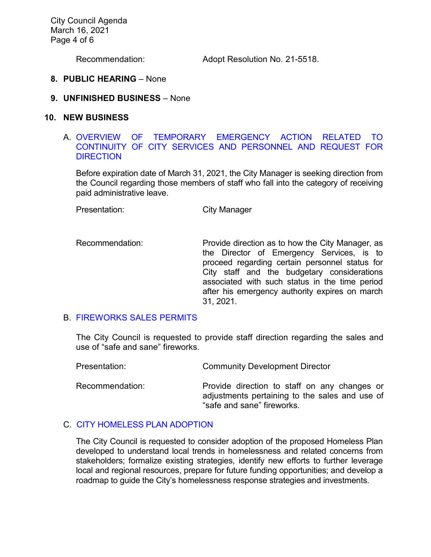City Council Agenda March 16, 2021 Page 4 of 6

Recommendation: Adopt Resolution No. 21-5518.

#### **8. PUBLIC HEARING** – None

#### **9. UNFINISHED BUSINESS** – None

#### **10. NEW BUSINESS**

### A. [OVERVIEW OF TEMPORARY EMERGENCY ACTION RELATED TO](https://ca-templecity.civicplus.com/DocumentCenter/View/15917/11_10A_COVID_Staff-Report_revised-2-comments_2021-03-08-Final_v3)  [CONTINUITY OF CITY SERVICES AND PERSONNEL AND REQUEST FOR](https://ca-templecity.civicplus.com/DocumentCenter/View/15917/11_10A_COVID_Staff-Report_revised-2-comments_2021-03-08-Final_v3)  **[DIRECTION](https://ca-templecity.civicplus.com/DocumentCenter/View/15917/11_10A_COVID_Staff-Report_revised-2-comments_2021-03-08-Final_v3)**

Before expiration date of March 31, 2021, the City Manager is seeking direction from the Council regarding those members of staff who fall into the category of receiving paid administrative leave.

Presentation: City Manager

Recommendation: Provide direction as to how the City Manager, as the Director of Emergency Services, is to proceed regarding certain personnel status for City staff and the budgetary considerations associated with such status in the time period after his emergency authority expires on march 31, 2021.

## B. [FIREWORKS SALES PERMITS](https://ca-templecity.civicplus.com/DocumentCenter/View/15918/12_10B_Fireworks_Staff-Report_v4-BC-edits-2021-03-09_w-attachment)

The City Council is requested to provide staff direction regarding the sales and use of "safe and sane" fireworks.

| Presentation:   | <b>Community Development Director</b>                                                                                        |
|-----------------|------------------------------------------------------------------------------------------------------------------------------|
| Recommendation: | Provide direction to staff on any changes or<br>adjustments pertaining to the sales and use of<br>"safe and sane" fireworks. |

# C. [CITY HOMELESS PLAN ADOPTION](https://ca-templecity.civicplus.com/DocumentCenter/View/15924/08_7G_City-Based-Homelss-Plan_Staff-Report_final_v2-w-attachments)

The City Council is requested to consider adoption of the proposed Homeless Plan developed to understand local trends in homelessness and related concerns from stakeholders; formalize existing strategies, identify new efforts to further leverage local and regional resources, prepare for future funding opportunities; and develop a roadmap to guide the City's homelessness response strategies and investments.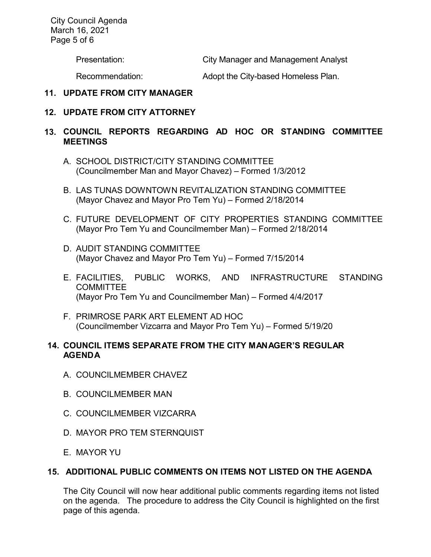City Council Agenda March 16, 2021 Page 5 of 6

Presentation: City Manager and Management Analyst

Recommendation: Adopt the City-based Homeless Plan.

## **11. UPDATE FROM CITY MANAGER**

## **12. UPDATE FROM CITY ATTORNEY**

## **13. COUNCIL REPORTS REGARDING AD HOC OR STANDING COMMITTEE MEETINGS**

- A. SCHOOL DISTRICT/CITY STANDING COMMITTEE (Councilmember Man and Mayor Chavez) – Formed 1/3/2012
- B. LAS TUNAS DOWNTOWN REVITALIZATION STANDING COMMITTEE (Mayor Chavez and Mayor Pro Tem Yu) – Formed 2/18/2014
- C. FUTURE DEVELOPMENT OF CITY PROPERTIES STANDING COMMITTEE (Mayor Pro Tem Yu and Councilmember Man) – Formed 2/18/2014
- D. AUDIT STANDING COMMITTEE (Mayor Chavez and Mayor Pro Tem Yu) – Formed 7/15/2014
- E. FACILITIES, PUBLIC WORKS, AND INFRASTRUCTURE STANDING **COMMITTEE** (Mayor Pro Tem Yu and Councilmember Man) – Formed 4/4/2017
- F. PRIMROSE PARK ART ELEMENT AD HOC (Councilmember Vizcarra and Mayor Pro Tem Yu) – Formed 5/19/20

## **14. COUNCIL ITEMS SEPARATE FROM THE CITY MANAGER'S REGULAR AGENDA**

- A. COUNCILMEMBER CHAVEZ
- B. COUNCILMEMBER MAN
- C. COUNCILMEMBER VIZCARRA
- D. MAYOR PRO TEM STERNQUIST
- E. MAYOR YU

## **15. ADDITIONAL PUBLIC COMMENTS ON ITEMS NOT LISTED ON THE AGENDA**

The City Council will now hear additional public comments regarding items not listed on the agenda. The procedure to address the City Council is highlighted on the first page of this agenda.